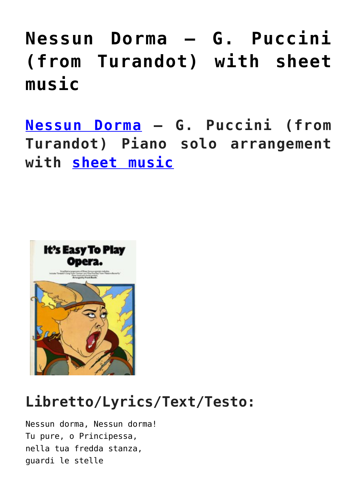# **[Nessun Dorma – G. Puccini](https://sheetmusiclibrary.website/2022/04/02/puccini-sheet-music/) [\(from Turandot\) with sheet](https://sheetmusiclibrary.website/2022/04/02/puccini-sheet-music/) [music](https://sheetmusiclibrary.website/2022/04/02/puccini-sheet-music/)**

**[Nessun Dorma](https://vimeo.com/488706089) – G. Puccini (from Turandot) Piano solo arrangement with [sheet music](http://sheetmusiclibrary.website)**



### **Libretto/Lyrics/Text/Testo:**

Nessun dorma, Nessun dorma! Tu pure, o Principessa, nella tua fredda stanza, guardi le stelle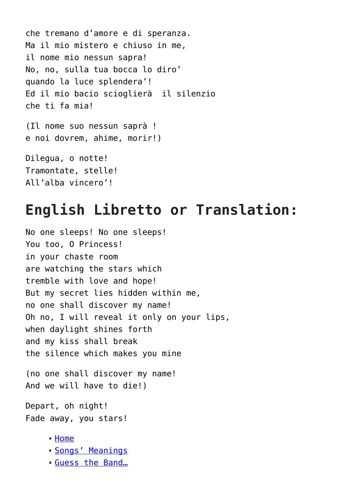```
che tremano d'amore e di speranza.
Ma il mio mistero e chiuso in me,
il nome mio nessun sapra!
No, no, sulla tua bocca lo diro'
quando la luce splendera'!
Ed il mio bacio scioglierà il silenzio
che ti fa mia!
(Il nome suo nessun saprà !
e noi dovrem, ahime, morir!)
Dilegua, o notte!
Tramontate, stelle!
```
All'alba vincero'!

#### **English Libretto or Translation:**

No one sleeps! No one sleeps! You too, O Princess! in your chaste room are watching the stars which tremble with love and hope! But my secret lies hidden within me, no one shall discover my name! Oh no, I will reveal it only on your lips, when daylight shines forth and my kiss shall break the silence which makes you mine

(no one shall discover my name! And we will have to die!)

Depart, oh night! Fade away, you stars!

- [Home](http://musicblessing.blogspot.com/)
- [Songs' Meanings](http://musicblessing.blogspot.com/search/label/Songs)
- [Guess the Band…](http://musicblessing.blogspot.com/search/label/Guess%20the%20band%20from%20the%20picture)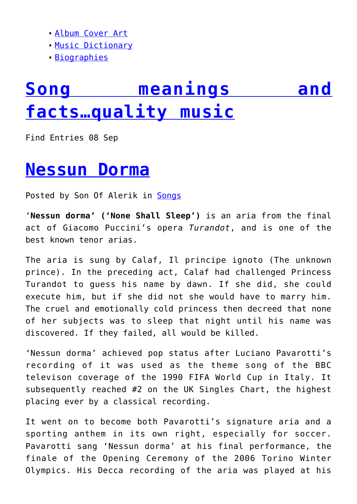- [Album Cover Art](http://musicblessing.blogspot.com/search/label/Famous%20album%20covers)
- [Music Dictionary](http://musicblessing.blogspot.com/search/label/Music%20dictionary)
- [Biographies](http://musicblessing.blogspot.com/search/label/Biographies)

## **[Song meanings and](http://musicblessing.blogspot.com/) [facts…quality music](http://musicblessing.blogspot.com/)**

Find Entries 08 Sep

#### **[Nessun Dorma](http://musicblessing.blogspot.com/2008/09/nessun-dorma.html)**

Posted by Son Of Alerik in [Songs](http://musicblessing.blogspot.com/search/label/Songs)

'**Nessun dorma' ('None Shall Sleep')** is an aria from the final act of Giacomo Puccini's opera *Turandot*, and is one of the best known tenor arias.

The aria is sung by Calaf, Il principe ignoto (The unknown prince). In the preceding act, Calaf had challenged Princess Turandot to guess his name by dawn. If she did, she could execute him, but if she did not she would have to marry him. The cruel and emotionally cold princess then decreed that none of her subjects was to sleep that night until his name was discovered. If they failed, all would be killed.

'Nessun dorma' achieved pop status after Luciano Pavarotti's recording of it was used as the theme song of the BBC televison coverage of the 1990 FIFA World Cup in Italy. It subsequently reached #2 on the UK Singles Chart, the highest placing ever by a classical recording.

It went on to become both Pavarotti's signature aria and a sporting anthem in its own right, especially for soccer. Pavarotti sang 'Nessun dorma' at his final performance, the finale of the Opening Ceremony of the 2006 Torino Winter Olympics. His Decca recording of the aria was played at his